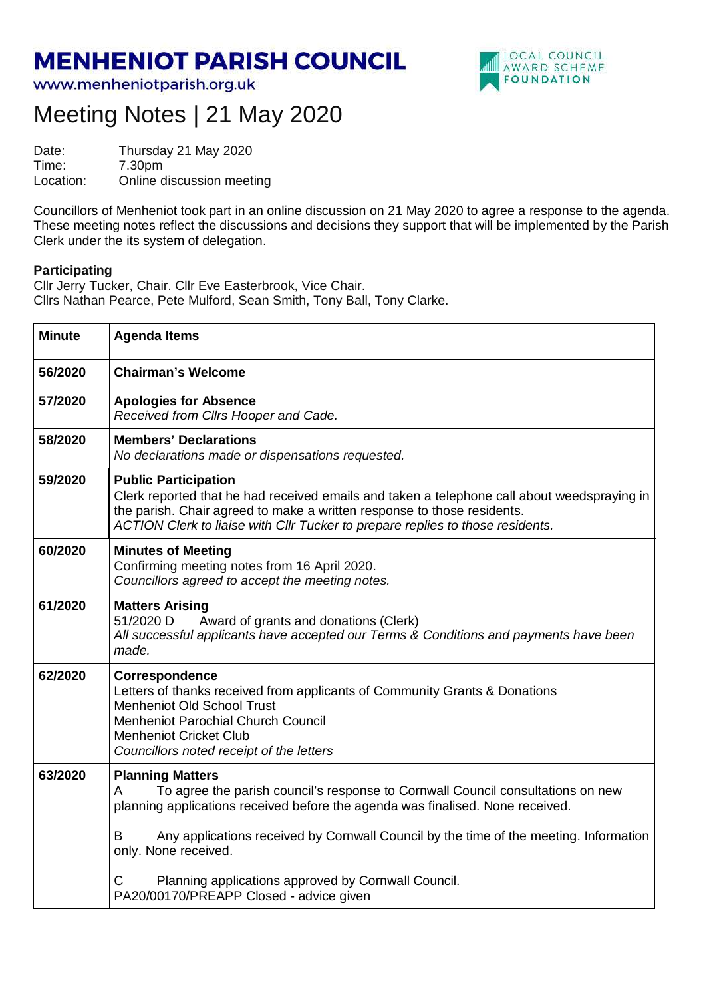## **MENHENIOT PARISH COUNCIL**

www.menheniotparish.org.uk



## Meeting Notes | 21 May 2020

Date: Thursday 21 May 2020<br>Time: 7.30pm Time: 7.30pm Location: Online discussion meeting

Councillors of Menheniot took part in an online discussion on 21 May 2020 to agree a response to the agenda. These meeting notes reflect the discussions and decisions they support that will be implemented by the Parish Clerk under the its system of delegation.

## **Participating**

Cllr Jerry Tucker, Chair. Cllr Eve Easterbrook, Vice Chair. Cllrs Nathan Pearce, Pete Mulford, Sean Smith, Tony Ball, Tony Clarke.

| <b>Minute</b> | <b>Agenda Items</b>                                                                                                                                                                                                                                                                                                     |  |  |  |  |  |
|---------------|-------------------------------------------------------------------------------------------------------------------------------------------------------------------------------------------------------------------------------------------------------------------------------------------------------------------------|--|--|--|--|--|
| 56/2020       | <b>Chairman's Welcome</b>                                                                                                                                                                                                                                                                                               |  |  |  |  |  |
| 57/2020       | <b>Apologies for Absence</b><br>Received from Cllrs Hooper and Cade.                                                                                                                                                                                                                                                    |  |  |  |  |  |
| 58/2020       | <b>Members' Declarations</b><br>No declarations made or dispensations requested.                                                                                                                                                                                                                                        |  |  |  |  |  |
| 59/2020       | <b>Public Participation</b><br>Clerk reported that he had received emails and taken a telephone call about weedspraying in<br>the parish. Chair agreed to make a written response to those residents.<br>ACTION Clerk to liaise with Cllr Tucker to prepare replies to those residents.                                 |  |  |  |  |  |
| 60/2020       | <b>Minutes of Meeting</b><br>Confirming meeting notes from 16 April 2020.<br>Councillors agreed to accept the meeting notes.                                                                                                                                                                                            |  |  |  |  |  |
| 61/2020       | <b>Matters Arising</b><br>51/2020 D<br>Award of grants and donations (Clerk)<br>All successful applicants have accepted our Terms & Conditions and payments have been<br>made.                                                                                                                                          |  |  |  |  |  |
| 62/2020       | Correspondence<br>Letters of thanks received from applicants of Community Grants & Donations<br><b>Menheniot Old School Trust</b><br><b>Menheniot Parochial Church Council</b><br><b>Menheniot Cricket Club</b><br>Councillors noted receipt of the letters                                                             |  |  |  |  |  |
| 63/2020       | <b>Planning Matters</b><br>To agree the parish council's response to Cornwall Council consultations on new<br>A<br>planning applications received before the agenda was finalised. None received.<br>Any applications received by Cornwall Council by the time of the meeting. Information<br>в<br>only. None received. |  |  |  |  |  |
|               | Planning applications approved by Cornwall Council.<br>С<br>PA20/00170/PREAPP Closed - advice given                                                                                                                                                                                                                     |  |  |  |  |  |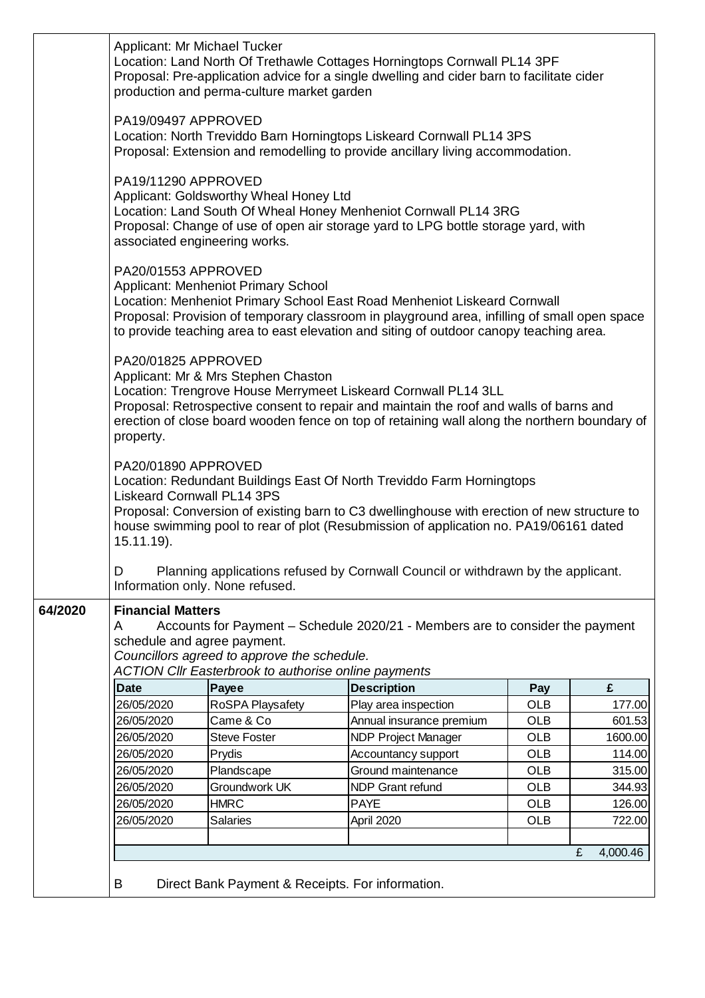|         | Applicant: Mr Michael Tucker<br>Location: Land North Of Trethawle Cottages Horningtops Cornwall PL14 3PF<br>Proposal: Pre-application advice for a single dwelling and cider barn to facilitate cider<br>production and perma-culture market garden                                                                                        |                     |                            |            |               |  |  |  |
|---------|--------------------------------------------------------------------------------------------------------------------------------------------------------------------------------------------------------------------------------------------------------------------------------------------------------------------------------------------|---------------------|----------------------------|------------|---------------|--|--|--|
|         | PA19/09497 APPROVED<br>Location: North Treviddo Barn Horningtops Liskeard Cornwall PL14 3PS<br>Proposal: Extension and remodelling to provide ancillary living accommodation.                                                                                                                                                              |                     |                            |            |               |  |  |  |
|         | PA19/11290 APPROVED<br>Applicant: Goldsworthy Wheal Honey Ltd<br>Location: Land South Of Wheal Honey Menheniot Cornwall PL14 3RG<br>Proposal: Change of use of open air storage yard to LPG bottle storage yard, with<br>associated engineering works.                                                                                     |                     |                            |            |               |  |  |  |
|         | PA20/01553 APPROVED<br>Applicant: Menheniot Primary School<br>Location: Menheniot Primary School East Road Menheniot Liskeard Cornwall<br>Proposal: Provision of temporary classroom in playground area, infilling of small open space<br>to provide teaching area to east elevation and siting of outdoor canopy teaching area.           |                     |                            |            |               |  |  |  |
|         | PA20/01825 APPROVED<br>Applicant: Mr & Mrs Stephen Chaston<br>Location: Trengrove House Merrymeet Liskeard Cornwall PL14 3LL<br>Proposal: Retrospective consent to repair and maintain the roof and walls of barns and<br>erection of close board wooden fence on top of retaining wall along the northern boundary of<br>property.        |                     |                            |            |               |  |  |  |
|         | PA20/01890 APPROVED<br>Location: Redundant Buildings East Of North Treviddo Farm Horningtops<br><b>Liskeard Cornwall PL14 3PS</b><br>Proposal: Conversion of existing barn to C3 dwellinghouse with erection of new structure to<br>house swimming pool to rear of plot (Resubmission of application no. PA19/06161 dated<br>$15.11.19$ ). |                     |                            |            |               |  |  |  |
|         | Planning applications refused by Cornwall Council or withdrawn by the applicant.<br>D<br>Information only. None refused.                                                                                                                                                                                                                   |                     |                            |            |               |  |  |  |
| 64/2020 | <b>Financial Matters</b><br>Accounts for Payment - Schedule 2020/21 - Members are to consider the payment<br>A<br>schedule and agree payment.<br>Councillors agreed to approve the schedule.<br><b>ACTION CIIr Easterbrook to authorise online payments</b>                                                                                |                     |                            |            |               |  |  |  |
|         | <b>Date</b>                                                                                                                                                                                                                                                                                                                                | Payee               | <b>Description</b>         | Pay        | £             |  |  |  |
|         | 26/05/2020                                                                                                                                                                                                                                                                                                                                 | RoSPA Playsafety    | Play area inspection       | <b>OLB</b> | 177.00        |  |  |  |
|         | 26/05/2020                                                                                                                                                                                                                                                                                                                                 | Came & Co           | Annual insurance premium   | <b>OLB</b> | 601.53        |  |  |  |
|         | 26/05/2020                                                                                                                                                                                                                                                                                                                                 | <b>Steve Foster</b> | <b>NDP Project Manager</b> | <b>OLB</b> | 1600.00       |  |  |  |
|         | 26/05/2020                                                                                                                                                                                                                                                                                                                                 | Prydis              | Accountancy support        | <b>OLB</b> | 114.00        |  |  |  |
|         | 26/05/2020                                                                                                                                                                                                                                                                                                                                 | Plandscape          | Ground maintenance         | <b>OLB</b> | 315.00        |  |  |  |
|         | 26/05/2020                                                                                                                                                                                                                                                                                                                                 | Groundwork UK       | <b>NDP Grant refund</b>    | <b>OLB</b> | 344.93        |  |  |  |
|         | 26/05/2020                                                                                                                                                                                                                                                                                                                                 | <b>HMRC</b>         | <b>PAYE</b>                | <b>OLB</b> | 126.00        |  |  |  |
|         | 26/05/2020                                                                                                                                                                                                                                                                                                                                 | <b>Salaries</b>     | April 2020                 | <b>OLB</b> | 722.00        |  |  |  |
|         |                                                                                                                                                                                                                                                                                                                                            |                     |                            |            | £<br>4,000.46 |  |  |  |
|         | B<br>Direct Bank Payment & Receipts. For information.                                                                                                                                                                                                                                                                                      |                     |                            |            |               |  |  |  |